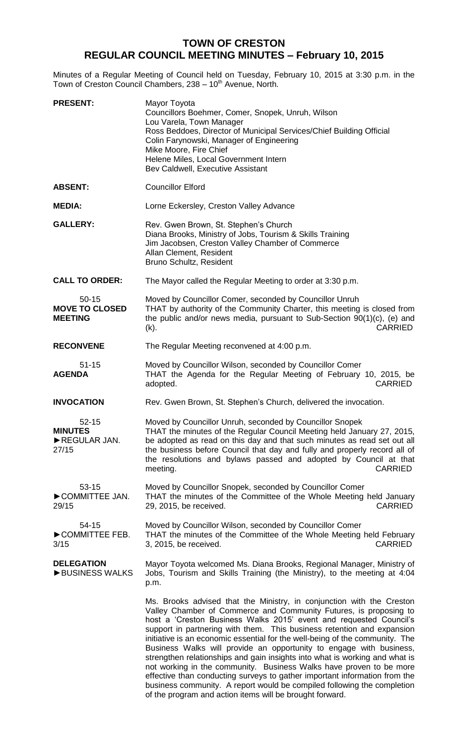## **TOWN OF CRESTON REGULAR COUNCIL MEETING MINUTES – February 10, 2015**

Minutes of a Regular Meeting of Council held on Tuesday, February 10, 2015 at 3:30 p.m. in the Town of Creston Council Chambers, 238 - 10<sup>th</sup> Avenue, North.

| <b>PRESENT:</b>                                      | Mayor Toyota<br>Councillors Boehmer, Comer, Snopek, Unruh, Wilson<br>Lou Varela, Town Manager<br>Ross Beddoes, Director of Municipal Services/Chief Building Official<br>Colin Farynowski, Manager of Engineering<br>Mike Moore, Fire Chief<br>Helene Miles, Local Government Intern<br>Bev Caldwell, Executive Assistant                                                                                                                                                                                                                                                                                                                                                                                                                                                                                                    |
|------------------------------------------------------|------------------------------------------------------------------------------------------------------------------------------------------------------------------------------------------------------------------------------------------------------------------------------------------------------------------------------------------------------------------------------------------------------------------------------------------------------------------------------------------------------------------------------------------------------------------------------------------------------------------------------------------------------------------------------------------------------------------------------------------------------------------------------------------------------------------------------|
| <b>ABSENT:</b>                                       | <b>Councillor Elford</b>                                                                                                                                                                                                                                                                                                                                                                                                                                                                                                                                                                                                                                                                                                                                                                                                     |
| <b>MEDIA:</b>                                        | Lorne Eckersley, Creston Valley Advance                                                                                                                                                                                                                                                                                                                                                                                                                                                                                                                                                                                                                                                                                                                                                                                      |
| <b>GALLERY:</b>                                      | Rev. Gwen Brown, St. Stephen's Church<br>Diana Brooks, Ministry of Jobs, Tourism & Skills Training<br>Jim Jacobsen, Creston Valley Chamber of Commerce<br>Allan Clement, Resident<br>Bruno Schultz, Resident                                                                                                                                                                                                                                                                                                                                                                                                                                                                                                                                                                                                                 |
| <b>CALL TO ORDER:</b>                                | The Mayor called the Regular Meeting to order at 3:30 p.m.                                                                                                                                                                                                                                                                                                                                                                                                                                                                                                                                                                                                                                                                                                                                                                   |
| $50 - 15$<br><b>MOVE TO CLOSED</b><br><b>MEETING</b> | Moved by Councillor Comer, seconded by Councillor Unruh<br>THAT by authority of the Community Charter, this meeting is closed from<br>the public and/or news media, pursuant to Sub-Section 90(1)(c), (e) and<br><b>CARRIED</b><br>$(k)$ .                                                                                                                                                                                                                                                                                                                                                                                                                                                                                                                                                                                   |
| <b>RECONVENE</b>                                     | The Regular Meeting reconvened at 4:00 p.m.                                                                                                                                                                                                                                                                                                                                                                                                                                                                                                                                                                                                                                                                                                                                                                                  |
| $51 - 15$<br><b>AGENDA</b>                           | Moved by Councillor Wilson, seconded by Councillor Comer<br>THAT the Agenda for the Regular Meeting of February 10, 2015, be<br><b>CARRIED</b><br>adopted.                                                                                                                                                                                                                                                                                                                                                                                                                                                                                                                                                                                                                                                                   |
| <b>INVOCATION</b>                                    | Rev. Gwen Brown, St. Stephen's Church, delivered the invocation.                                                                                                                                                                                                                                                                                                                                                                                                                                                                                                                                                                                                                                                                                                                                                             |
| $52 - 15$<br><b>MINUTES</b><br>REGULAR JAN.<br>27/15 | Moved by Councillor Unruh, seconded by Councillor Snopek<br>THAT the minutes of the Regular Council Meeting held January 27, 2015,<br>be adopted as read on this day and that such minutes as read set out all<br>the business before Council that day and fully and properly record all of<br>the resolutions and bylaws passed and adopted by Council at that<br><b>CARRIED</b><br>meeting.                                                                                                                                                                                                                                                                                                                                                                                                                                |
| 53-15<br>COMMITTEE JAN.<br>29/15                     | Moved by Councillor Snopek, seconded by Councillor Comer<br>THAT the minutes of the Committee of the Whole Meeting held January<br>29, 2015, be received.<br><b>CARRIED</b>                                                                                                                                                                                                                                                                                                                                                                                                                                                                                                                                                                                                                                                  |
| 54-15<br>COMMITTEE FEB.<br>3/15                      | Moved by Councillor Wilson, seconded by Councillor Comer<br>THAT the minutes of the Committee of the Whole Meeting held February<br><b>CARRIED</b><br>3, 2015, be received.                                                                                                                                                                                                                                                                                                                                                                                                                                                                                                                                                                                                                                                  |
| <b>DELEGATION</b><br>BUSINESS WALKS                  | Mayor Toyota welcomed Ms. Diana Brooks, Regional Manager, Ministry of<br>Jobs, Tourism and Skills Training (the Ministry), to the meeting at 4:04<br>p.m.                                                                                                                                                                                                                                                                                                                                                                                                                                                                                                                                                                                                                                                                    |
|                                                      | Ms. Brooks advised that the Ministry, in conjunction with the Creston<br>Valley Chamber of Commerce and Community Futures, is proposing to<br>host a 'Creston Business Walks 2015' event and requested Council's<br>support in partnering with them. This business retention and expansion<br>initiative is an economic essential for the well-being of the community. The<br>Business Walks will provide an opportunity to engage with business,<br>strengthen relationships and gain insights into what is working and what is<br>not working in the community. Business Walks have proven to be more<br>effective than conducting surveys to gather important information from the<br>business community. A report would be compiled following the completion<br>of the program and action items will be brought forward. |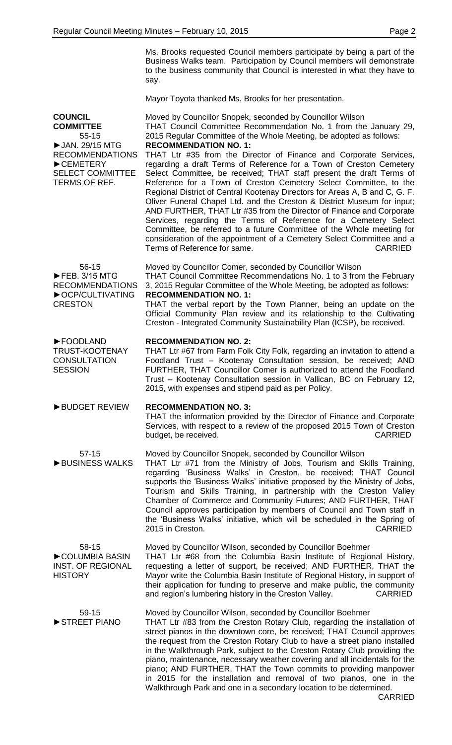Ms. Brooks requested Council members participate by being a part of the Business Walks team. Participation by Council members will demonstrate to the business community that Council is interested in what they have to say.

Mayor Toyota thanked Ms. Brooks for her presentation.

**COUNCIL COMMITTEE** 55-15 ►JAN. 29/15 MTG RECOMMENDATIONS ►CEMETERY SELECT COMMITTEE TERMS OF REF. Moved by Councillor Snopek, seconded by Councillor Wilson THAT Council Committee Recommendation No. 1 from the January 29, 2015 Regular Committee of the Whole Meeting, be adopted as follows: **RECOMMENDATION NO. 1:** THAT Ltr #35 from the Director of Finance and Corporate Services, regarding a draft Terms of Reference for a Town of Creston Cemetery Select Committee, be received; THAT staff present the draft Terms of Reference for a Town of Creston Cemetery Select Committee, to the Regional District of Central Kootenay Directors for Areas A, B and C, G. F. Oliver Funeral Chapel Ltd. and the Creston & District Museum for input; AND FURTHER, THAT Ltr #35 from the Director of Finance and Corporate Services, regarding the Terms of Reference for a Cemetery Select Committee, be referred to a future Committee of the Whole meeting for consideration of the appointment of a Cemetery Select Committee and a Terms of Reference for same. The contract of  $\mathsf{CARRIED}$ 56-15 ►FEB. 3/15 MTG RECOMMENDATIONS **►**OCP/CULTIVATING **CRESTON** Moved by Councillor Comer, seconded by Councillor Wilson THAT Council Committee Recommendations No. 1 to 3 from the February 3, 2015 Regular Committee of the Whole Meeting, be adopted as follows: **RECOMMENDATION NO. 1:** THAT the verbal report by the Town Planner, being an update on the Official Community Plan review and its relationship to the Cultivating Creston - Integrated Community Sustainability Plan (ICSP), be received. ►FOODLAND TRUST-KOOTENAY **CONSULTATION SESSION RECOMMENDATION NO. 2:** THAT Ltr #67 from Farm Folk City Folk, regarding an invitation to attend a Foodland Trust – Kootenay Consultation session, be received; AND FURTHER, THAT Councillor Comer is authorized to attend the Foodland Trust – Kootenay Consultation session in Vallican, BC on February 12, 2015, with expenses and stipend paid as per Policy. ►BUDGET REVIEW **RECOMMENDATION NO. 3:** THAT the information provided by the Director of Finance and Corporate Services, with respect to a review of the proposed 2015 Town of Creston budget, be received. The contract of the contract of the case of the case of the case of the case of the case of the case of the case of the case of the case of the case of the case of the case of the case of the case of t 57-15 ►BUSINESS WALKS Moved by Councillor Snopek, seconded by Councillor Wilson THAT Ltr #71 from the Ministry of Jobs, Tourism and Skills Training, regarding 'Business Walks' in Creston, be received; THAT Council supports the 'Business Walks' initiative proposed by the Ministry of Jobs, Tourism and Skills Training, in partnership with the Creston Valley Chamber of Commerce and Community Futures; AND FURTHER, THAT Council approves participation by members of Council and Town staff in the 'Business Walks' initiative, which will be scheduled in the Spring of 2015 in Creston. CARRIED 58-15 ►COLUMBIA BASIN INST. OF REGIONAL **HISTORY** Moved by Councillor Wilson, seconded by Councillor Boehmer THAT Ltr #68 from the Columbia Basin Institute of Regional History, requesting a letter of support, be received; AND FURTHER, THAT the Mayor write the Columbia Basin Institute of Regional History, in support of their application for funding to preserve and make public, the community and region's lumbering history in the Creston Valley. CARRIED 59-15 ►STREET PIANO Moved by Councillor Wilson, seconded by Councillor Boehmer THAT Ltr #83 from the Creston Rotary Club, regarding the installation of street pianos in the downtown core, be received; THAT Council approves the request from the Creston Rotary Club to have a street piano installed in the Walkthrough Park, subject to the Creston Rotary Club providing the piano, maintenance, necessary weather covering and all incidentals for the piano; AND FURTHER, THAT the Town commits to providing manpower in 2015 for the installation and removal of two pianos, one in the Walkthrough Park and one in a secondary location to be determined.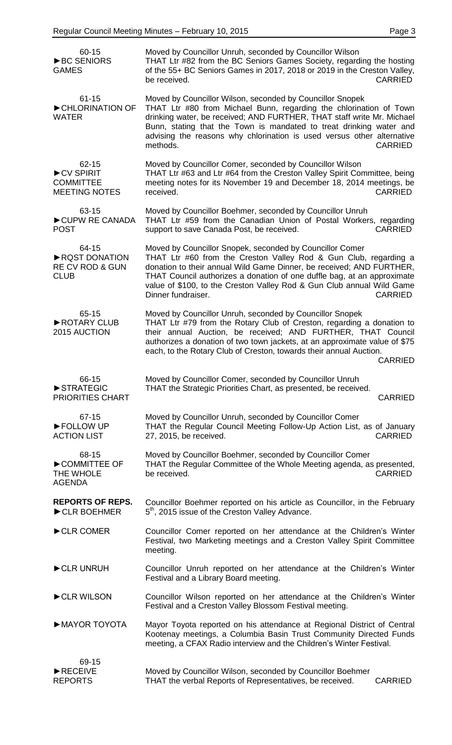| 60-15<br>▶BC SENIORS<br><b>GAMES</b>                                | Moved by Councillor Unruh, seconded by Councillor Wilson<br>THAT Ltr #82 from the BC Seniors Games Society, regarding the hosting<br>of the 55+ BC Seniors Games in 2017, 2018 or 2019 in the Creston Valley,<br>be received.<br><b>CARRIED</b>                                                                                                                                                  |
|---------------------------------------------------------------------|--------------------------------------------------------------------------------------------------------------------------------------------------------------------------------------------------------------------------------------------------------------------------------------------------------------------------------------------------------------------------------------------------|
| $61 - 15$<br>CHLORINATION OF<br><b>WATER</b>                        | Moved by Councillor Wilson, seconded by Councillor Snopek<br>THAT Ltr #80 from Michael Bunn, regarding the chlorination of Town<br>drinking water, be received; AND FURTHER, THAT staff write Mr. Michael<br>Bunn, stating that the Town is mandated to treat drinking water and<br>advising the reasons why chlorination is used versus other alternative<br>methods.<br><b>CARRIED</b>         |
| 62-15<br>CV SPIRIT<br><b>COMMITTEE</b><br><b>MEETING NOTES</b>      | Moved by Councillor Comer, seconded by Councillor Wilson<br>THAT Ltr #63 and Ltr #64 from the Creston Valley Spirit Committee, being<br>meeting notes for its November 19 and December 18, 2014 meetings, be<br><b>CARRIED</b><br>received.                                                                                                                                                      |
| 63-15<br>CUPW RE CANADA<br><b>POST</b>                              | Moved by Councillor Boehmer, seconded by Councillor Unruh<br>THAT Ltr #59 from the Canadian Union of Postal Workers, regarding<br>support to save Canada Post, be received.<br><b>CARRIED</b>                                                                                                                                                                                                    |
| 64-15<br>RQST DONATION<br><b>RE CV ROD &amp; GUN</b><br><b>CLUB</b> | Moved by Councillor Snopek, seconded by Councillor Comer<br>THAT Ltr #60 from the Creston Valley Rod & Gun Club, regarding a<br>donation to their annual Wild Game Dinner, be received; AND FURTHER,<br>THAT Council authorizes a donation of one duffle bag, at an approximate<br>value of \$100, to the Creston Valley Rod & Gun Club annual Wild Game<br>Dinner fundraiser.<br><b>CARRIED</b> |
| 65-15<br>ROTARY CLUB<br>2015 AUCTION                                | Moved by Councillor Unruh, seconded by Councillor Snopek<br>THAT Ltr #79 from the Rotary Club of Creston, regarding a donation to<br>their annual Auction, be received; AND FURTHER, THAT Council<br>authorizes a donation of two town jackets, at an approximate value of \$75<br>each, to the Rotary Club of Creston, towards their annual Auction.<br><b>CARRIED</b>                          |
| 66-15<br>STRATEGIC<br>PRIORITIES CHART                              | Moved by Councillor Comer, seconded by Councillor Unruh<br>THAT the Strategic Priorities Chart, as presented, be received.<br><b>CARRIED</b>                                                                                                                                                                                                                                                     |
| 67-15<br>FOLLOW UP<br><b>ACTION LIST</b>                            | Moved by Councillor Unruh, seconded by Councillor Comer<br>THAT the Regular Council Meeting Follow-Up Action List, as of January<br><b>CARRIED</b><br>27, 2015, be received.                                                                                                                                                                                                                     |
| 68-15<br>COMMITTEE OF<br>THE WHOLE<br><b>AGENDA</b>                 | Moved by Councillor Boehmer, seconded by Councillor Comer<br>THAT the Regular Committee of the Whole Meeting agenda, as presented,<br>be received.<br><b>CARRIED</b>                                                                                                                                                                                                                             |
| <b>REPORTS OF REPS.</b><br>CLR BOEHMER                              | Councillor Boehmer reported on his article as Councillor, in the February<br>5 <sup>th</sup> , 2015 issue of the Creston Valley Advance.                                                                                                                                                                                                                                                         |
| CLR COMER                                                           | Councillor Comer reported on her attendance at the Children's Winter<br>Festival, two Marketing meetings and a Creston Valley Spirit Committee<br>meeting.                                                                                                                                                                                                                                       |
| CLR UNRUH                                                           | Councillor Unruh reported on her attendance at the Children's Winter<br>Festival and a Library Board meeting.                                                                                                                                                                                                                                                                                    |
| CLR WILSON                                                          | Councillor Wilson reported on her attendance at the Children's Winter<br>Festival and a Creston Valley Blossom Festival meeting.                                                                                                                                                                                                                                                                 |
| MAYOR TOYOTA                                                        | Mayor Toyota reported on his attendance at Regional District of Central<br>Kootenay meetings, a Columbia Basin Trust Community Directed Funds<br>meeting, a CFAX Radio interview and the Children's Winter Festival.                                                                                                                                                                             |
| 69-15<br>RECEIVE<br><b>REPORTS</b>                                  | Moved by Councillor Wilson, seconded by Councillor Boehmer<br>THAT the verbal Reports of Representatives, be received.<br><b>CARRIED</b>                                                                                                                                                                                                                                                         |